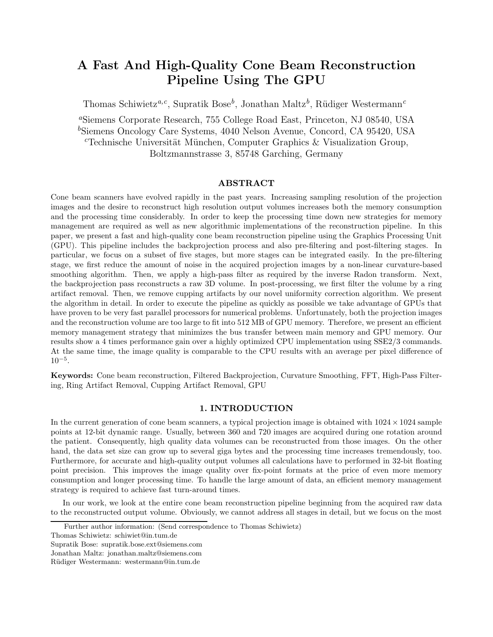# **A Fast And High-Quality Cone Beam Reconstruction Pipeline Using The GPU**

Thomas Schiwietz<sup>*a,c*</sup>, Supratik Bose<sup>*b*</sup>, Jonathan Maltz<sup>*b*</sup>, Rüdiger Westermann<sup>*c*</sup>

*<sup>a</sup>*Siemens Corporate Research, 755 College Road East, Princeton, NJ 08540, USA *<sup>b</sup>*Siemens Oncology Care Systems, 4040 Nelson Avenue, Concord, CA 95420, USA <sup>*c*</sup>Technische Universität München, Computer Graphics & Visualization Group, Boltzmannstrasse 3, 85748 Garching, Germany

# **ABSTRACT**

Cone beam scanners have evolved rapidly in the past years. Increasing sampling resolution of the projection images and the desire to reconstruct high resolution output volumes increases both the memory consumption and the processing time considerably. In order to keep the processing time down new strategies for memory management are required as well as new algorithmic implementations of the reconstruction pipeline. In this paper, we present a fast and high-quality cone beam reconstruction pipeline using the Graphics Processing Unit (GPU). This pipeline includes the backprojection process and also pre-filtering and post-filtering stages. In particular, we focus on a subset of five stages, but more stages can be integrated easily. In the pre-filtering stage, we first reduce the amount of noise in the acquired projection images by a non-linear curvature-based smoothing algorithm. Then, we apply a high-pass filter as required by the inverse Radon transform. Next, the backprojection pass reconstructs a raw 3D volume. In post-processing, we first filter the volume by a ring artifact removal. Then, we remove cupping artifacts by our novel uniformity correction algorithm. We present the algorithm in detail. In order to execute the pipeline as quickly as possible we take advantage of GPUs that have proven to be very fast parallel processors for numerical problems. Unfortunately, both the projection images and the reconstruction volume are too large to fit into 512 MB of GPU memory. Therefore, we present an efficient memory management strategy that minimizes the bus transfer between main memory and GPU memory. Our results show a 4 times performance gain over a highly optimized CPU implementation using SSE2/3 commands. At the same time, the image quality is comparable to the CPU results with an average per pixel difference of 10*−*<sup>5</sup>.

**Keywords:** Cone beam reconstruction, Filtered Backprojection, Curvature Smoothing, FFT, High-Pass Filtering, Ring Artifact Removal, Cupping Artifact Removal, GPU

# **1. INTRODUCTION**

In the current generation of cone beam scanners, a typical projection image is obtained with  $1024 \times 1024$  sample points at 12-bit dynamic range. Usually, between 360 and 720 images are acquired during one rotation around the patient. Consequently, high quality data volumes can be reconstructed from those images. On the other hand, the data set size can grow up to several giga bytes and the processing time increases tremendously, too. Furthermore, for accurate and high-quality output volumes all calculations have to performed in 32-bit floating point precision. This improves the image quality over fix-point formats at the price of even more memory consumption and longer processing time. To handle the large amount of data, an efficient memory management strategy is required to achieve fast turn-around times.

In our work, we look at the entire cone beam reconstruction pipeline beginning from the acquired raw data to the reconstructed output volume. Obviously, we cannot address all stages in detail, but we focus on the most

Further author information: (Send correspondence to Thomas Schiwietz)

Thomas Schiwietz: schiwiet@in.tum.de

Supratik Bose: supratik.bose.ext@siemens.com

Jonathan Maltz: jonathan.maltz@siemens.com

Rüdiger Westermann: westermann@in.tum.de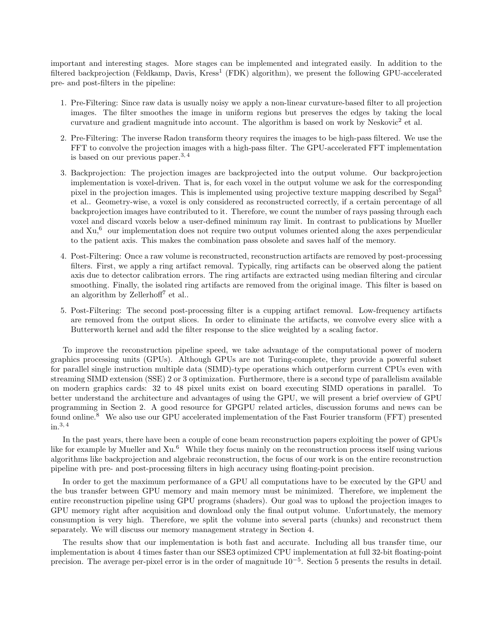important and interesting stages. More stages can be implemented and integrated easily. In addition to the filtered backprojection (Feldkamp, Davis, Kress<sup>1</sup> (FDK) algorithm), we present the following GPU-accelerated pre- and post-filters in the pipeline:

- 1. Pre-Filtering: Since raw data is usually noisy we apply a non-linear curvature-based filter to all projection images. The filter smoothes the image in uniform regions but preserves the edges by taking the local curvature and gradient magnitude into account. The algorithm is based on work by Neskovic<sup>2</sup> et al.
- 2. Pre-Filtering: The inverse Radon transform theory requires the images to be high-pass filtered. We use the FFT to convolve the projection images with a high-pass filter. The GPU-accelerated FFT implementation is based on our previous paper.<sup>3, 4</sup>
- 3. Backprojection: The projection images are backprojected into the output volume. Our backprojection implementation is voxel-driven. That is, for each voxel in the output volume we ask for the corresponding pixel in the projection images. This is implemented using projective texture mapping described by Segal<sup>5</sup> et al.. Geometry-wise, a voxel is only considered as reconstructed correctly, if a certain percentage of all backprojection images have contributed to it. Therefore, we count the number of rays passing through each voxel and discard voxels below a user-defined minimum ray limit. In contrast to publications by Mueller and  $Xu<sup>6</sup>$  our implementation does not require two output volumes oriented along the axes perpendicular to the patient axis. This makes the combination pass obsolete and saves half of the memory.
- 4. Post-Filtering: Once a raw volume is reconstructed, reconstruction artifacts are removed by post-processing filters. First, we apply a ring artifact removal. Typically, ring artifacts can be observed along the patient axis due to detector calibration errors. The ring artifacts are extracted using median filtering and circular smoothing. Finally, the isolated ring artifacts are removed from the original image. This filter is based on an algorithm by Zellerhoff<sup>7</sup> et al..
- 5. Post-Filtering: The second post-processing filter is a cupping artifact removal. Low-frequency artifacts are removed from the output slices. In order to eliminate the artifacts, we convolve every slice with a Butterworth kernel and add the filter response to the slice weighted by a scaling factor.

To improve the reconstruction pipeline speed, we take advantage of the computational power of modern graphics processing units (GPUs). Although GPUs are not Turing-complete, they provide a powerful subset for parallel single instruction multiple data (SIMD)-type operations which outperform current CPUs even with streaming SIMD extension (SSE) 2 or 3 optimization. Furthermore, there is a second type of parallelism available on modern graphics cards: 32 to 48 pixel units exist on board executing SIMD operations in parallel. To better understand the architecture and advantages of using the GPU, we will present a brief overview of GPU programming in Section 2. A good resource for GPGPU related articles, discussion forums and news can be found online.<sup>8</sup> We also use our GPU accelerated implementation of the Fast Fourier transform (FFT) presented in.3, 4

In the past years, there have been a couple of cone beam reconstruction papers exploiting the power of GPUs like for example by Mueller and Xu.<sup>6</sup> While they focus mainly on the reconstruction process itself using various algorithms like backprojection and algebraic reconstruction, the focus of our work is on the entire reconstruction pipeline with pre- and post-processing filters in high accuracy using floating-point precision.

In order to get the maximum performance of a GPU all computations have to be executed by the GPU and the bus transfer between GPU memory and main memory must be minimized. Therefore, we implement the entire reconstruction pipeline using GPU programs (shaders). Our goal was to upload the projection images to GPU memory right after acquisition and download only the final output volume. Unfortunately, the memory consumption is very high. Therefore, we split the volume into several parts (chunks) and reconstruct them separately. We will discuss our memory management strategy in Section 4.

The results show that our implementation is both fast and accurate. Including all bus transfer time, our implementation is about 4 times faster than our SSE3 optimized CPU implementation at full 32-bit floating-point precision. The average per-pixel error is in the order of magnitude 10*−*<sup>5</sup>. Section 5 presents the results in detail.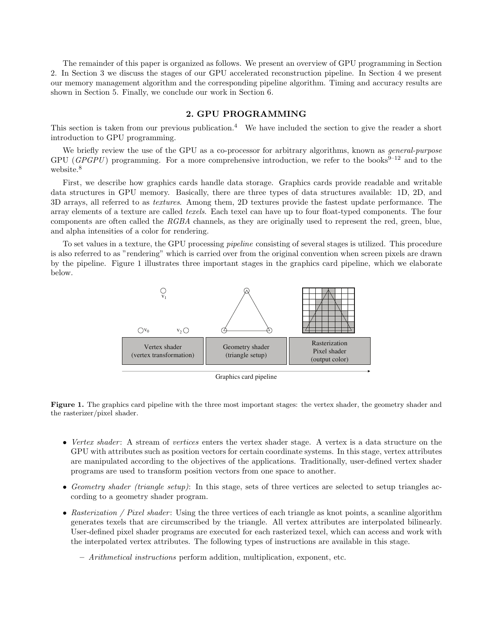The remainder of this paper is organized as follows. We present an overview of GPU programming in Section 2. In Section 3 we discuss the stages of our GPU accelerated reconstruction pipeline. In Section 4 we present our memory management algorithm and the corresponding pipeline algorithm. Timing and accuracy results are shown in Section 5. Finally, we conclude our work in Section 6.

## **2. GPU PROGRAMMING**

This section is taken from our previous publication.<sup>4</sup> We have included the section to give the reader a short introduction to GPU programming.

We briefly review the use of the GPU as a co-processor for arbitrary algorithms, known as *general-purpose* GPU (*GPGPU*) programming. For a more comprehensive introduction, we refer to the books<sup>9-12</sup> and to the website.<sup>8</sup>

First, we describe how graphics cards handle data storage. Graphics cards provide readable and writable data structures in GPU memory. Basically, there are three types of data structures available: 1D, 2D, and 3D arrays, all referred to as *textures*. Among them, 2D textures provide the fastest update performance. The array elements of a texture are called *texels*. Each texel can have up to four float-typed components. The four components are often called the *RGBA* channels, as they are originally used to represent the red, green, blue, and alpha intensities of a color for rendering.

To set values in a texture, the GPU processing *pipeline* consisting of several stages is utilized. This procedure is also referred to as "rendering" which is carried over from the original convention when screen pixels are drawn by the pipeline. Figure 1 illustrates three important stages in the graphics card pipeline, which we elaborate below.



Graphics card pipeline

**Figure 1.** The graphics card pipeline with the three most important stages: the vertex shader, the geometry shader and the rasterizer/pixel shader.

- *Vertex shader* : A stream of *vertices* enters the vertex shader stage. A vertex is a data structure on the GPU with attributes such as position vectors for certain coordinate systems. In this stage, vertex attributes are manipulated according to the objectives of the applications. Traditionally, user-defined vertex shader programs are used to transform position vectors from one space to another.
- *Geometry shader (triangle setup)*: In this stage, sets of three vertices are selected to setup triangles according to a geometry shader program.
- *Rasterization / Pixel shader*: Using the three vertices of each triangle as knot points, a scanline algorithm generates texels that are circumscribed by the triangle. All vertex attributes are interpolated bilinearly. User-defined pixel shader programs are executed for each rasterized texel, which can access and work with the interpolated vertex attributes. The following types of instructions are available in this stage.

**–** *Arithmetical instructions* perform addition, multiplication, exponent, etc.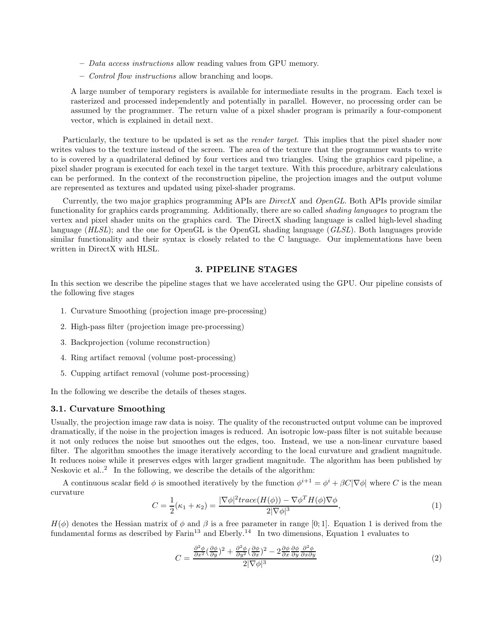- **–** *Data access instructions* allow reading values from GPU memory.
- **–** *Control flow instructions* allow branching and loops.

A large number of temporary registers is available for intermediate results in the program. Each texel is rasterized and processed independently and potentially in parallel. However, no processing order can be assumed by the programmer. The return value of a pixel shader program is primarily a four-component vector, which is explained in detail next.

Particularly, the texture to be updated is set as the *render target*. This implies that the pixel shader now writes values to the texture instead of the screen. The area of the texture that the programmer wants to write to is covered by a quadrilateral defined by four vertices and two triangles. Using the graphics card pipeline, a pixel shader program is executed for each texel in the target texture. With this procedure, arbitrary calculations can be performed. In the context of the reconstruction pipeline, the projection images and the output volume are represented as textures and updated using pixel-shader programs.

Currently, the two major graphics programming APIs are *DirectX* and *OpenGL*. Both APIs provide similar functionality for graphics cards programming. Additionally, there are so called *shading languages* to program the vertex and pixel shader units on the graphics card. The DirectX shading language is called high-level shading language (*HLSL*); and the one for OpenGL is the OpenGL shading language (*GLSL*). Both languages provide similar functionality and their syntax is closely related to the C language. Our implementations have been written in DirectX with HLSL.

## **3. PIPELINE STAGES**

In this section we describe the pipeline stages that we have accelerated using the GPU. Our pipeline consists of the following five stages

- 1. Curvature Smoothing (projection image pre-processing)
- 2. High-pass filter (projection image pre-processing)
- 3. Backprojection (volume reconstruction)
- 4. Ring artifact removal (volume post-processing)
- 5. Cupping artifact removal (volume post-processing)

In the following we describe the details of theses stages.

## **3.1. Curvature Smoothing**

Usually, the projection image raw data is noisy. The quality of the reconstructed output volume can be improved dramatically, if the noise in the projection images is reduced. An isotropic low-pass filter is not suitable because it not only reduces the noise but smoothes out the edges, too. Instead, we use a non-linear curvature based filter. The algorithm smoothes the image iteratively according to the local curvature and gradient magnitude. It reduces noise while it preserves edges with larger gradient magnitude. The algorithm has been published by Neskovic et al.. $<sup>2</sup>$  In the following, we describe the details of the algorithm:</sup>

A continuous scalar field  $\phi$  is smoothed iteratively by the function  $\phi^{i+1} = \phi^i + \beta C |\nabla \phi|$  where C is the mean curvature

$$
C = \frac{1}{2}(\kappa_1 + \kappa_2) = \frac{|\nabla \phi|^2 trace(H(\phi)) - \nabla \phi^T H(\phi) \nabla \phi}{2|\nabla \phi|^3},\tag{1}
$$

 $H(\phi)$  denotes the Hessian matrix of  $\phi$  and  $\beta$  is a free parameter in range [0; 1]. Equation 1 is derived from the fundamental forms as described by  $\mathrm{Farin}^{13}$  and  $\mathrm{Eberly}^{14}$  In two dimensions, Equation 1 evaluates to

$$
C = \frac{\frac{\partial^2 \phi}{\partial x^2} (\frac{\partial \phi}{\partial y})^2 + \frac{\partial^2 \phi}{\partial y^2} (\frac{\partial \phi}{\partial x})^2 - 2 \frac{\partial \phi}{\partial x} \frac{\partial \phi}{\partial y} \frac{\partial^2 \phi}{\partial x \partial y}}{2|\nabla \phi|^3}
$$
(2)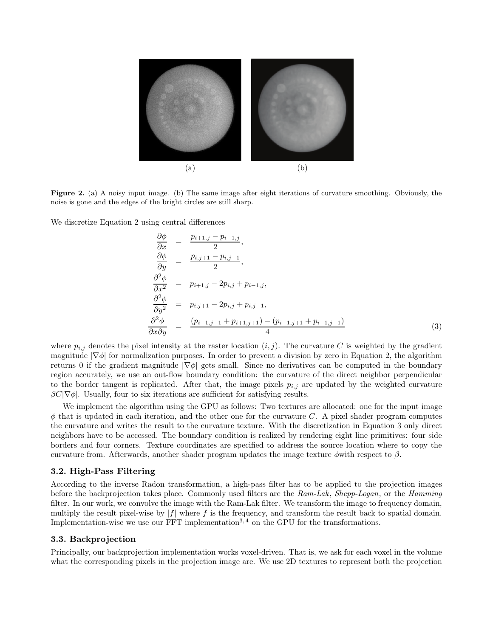

**Figure 2.** (a) A noisy input image. (b) The same image after eight iterations of curvature smoothing. Obviously, the noise is gone and the edges of the bright circles are still sharp.

We discretize Equation 2 using central differences

$$
\frac{\partial \phi}{\partial x} = \frac{p_{i+1,j} - p_{i-1,j}}{2},
$$
\n
$$
\frac{\partial \phi}{\partial y} = \frac{p_{i,j+1} - p_{i,j-1}}{2},
$$
\n
$$
\frac{\partial^2 \phi}{\partial x^2} = p_{i+1,j} - 2p_{i,j} + p_{i-1,j},
$$
\n
$$
\frac{\partial^2 \phi}{\partial y^2} = p_{i,j+1} - 2p_{i,j} + p_{i,j-1},
$$
\n
$$
\frac{\partial^2 \phi}{\partial x \partial y} = \frac{(p_{i-1,j-1} + p_{i+1,j+1}) - (p_{i-1,j+1} + p_{i+1,j-1})}{4}
$$
\n(3)

where  $p_{i,j}$  denotes the pixel intensity at the raster location  $(i, j)$ . The curvature C is weighted by the gradient magnitude  $|\nabla \phi|$  for normalization purposes. In order to prevent a division by zero in Equation 2, the algorithm returns 0 if the gradient magnitude  $|\nabla \phi|$  gets small. Since no derivatives can be computed in the boundary region accurately, we use an out-flow boundary condition: the curvature of the direct neighbor perpendicular to the border tangent is replicated. After that, the image pixels  $p_{i,j}$  are updated by the weighted curvature  $\beta C|\nabla\phi|$ . Usually, four to six iterations are sufficient for satisfying results.

We implement the algorithm using the GPU as follows: Two textures are allocated: one for the input image  $\phi$  that is updated in each iteration, and the other one for the curvature C. A pixel shader program computes the curvature and writes the result to the curvature texture. With the discretization in Equation 3 only direct neighbors have to be accessed. The boundary condition is realized by rendering eight line primitives: four side borders and four corners. Texture coordinates are specified to address the source location where to copy the curvature from. Afterwards, another shader program updates the image texture  $\phi$ with respect to  $\beta$ .

#### **3.2. High-Pass Filtering**

According to the inverse Radon transformation, a high-pass filter has to be applied to the projection images before the backprojection takes place. Commonly used filters are the *Ram-Lak*, *Shepp-Logan*, or the *Hamming* filter. In our work, we convolve the image with the Ram-Lak filter. We transform the image to frequency domain, multiply the result pixel-wise by  $|f|$  where f is the frequency, and transform the result back to spatial domain. Implementation-wise we use our  $\overline{FFT}$  implementation<sup>3, 4</sup> on the GPU for the transformations.

# **3.3. Backprojection**

Principally, our backprojection implementation works voxel-driven. That is, we ask for each voxel in the volume what the corresponding pixels in the projection image are. We use 2D textures to represent both the projection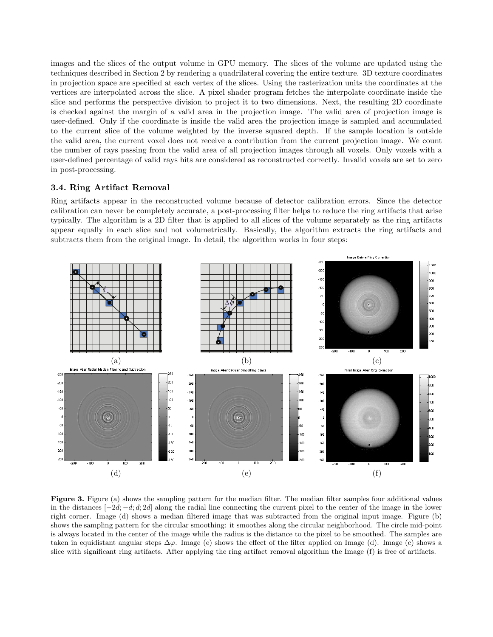images and the slices of the output volume in GPU memory. The slices of the volume are updated using the techniques described in Section 2 by rendering a quadrilateral covering the entire texture. 3D texture coordinates in projection space are specified at each vertex of the slices. Using the rasterization units the coordinates at the vertices are interpolated across the slice. A pixel shader program fetches the interpolate coordinate inside the slice and performs the perspective division to project it to two dimensions. Next, the resulting 2D coordinate is checked against the margin of a valid area in the projection image. The valid area of projection image is user-defined. Only if the coordinate is inside the valid area the projection image is sampled and accumulated to the current slice of the volume weighted by the inverse squared depth. If the sample location is outside the valid area, the current voxel does not receive a contribution from the current projection image. We count the number of rays passing from the valid area of all projection images through all voxels. Only voxels with a user-defined percentage of valid rays hits are considered as reconstructed correctly. Invalid voxels are set to zero in post-processing.

# **3.4. Ring Artifact Removal**

Ring artifacts appear in the reconstructed volume because of detector calibration errors. Since the detector calibration can never be completely accurate, a post-processing filter helps to reduce the ring artifacts that arise typically. The algorithm is a 2D filter that is applied to all slices of the volume separately as the ring artifacts appear equally in each slice and not volumetrically. Basically, the algorithm extracts the ring artifacts and subtracts them from the original image. In detail, the algorithm works in four steps:



**Figure 3.** Figure (a) shows the sampling pattern for the median filter. The median filter samples four additional values in the distances [*−*2d; *<sup>−</sup>*d; <sup>d</sup>; 2d] along the radial line connecting the current pixel to the center of the image in the lower right corner. Image (d) shows a median filtered image that was subtracted from the original input image. Figure (b) shows the sampling pattern for the circular smoothing: it smoothes along the circular neighborhood. The circle mid-point is always located in the center of the image while the radius is the distance to the pixel to be smoothed. The samples are taken in equidistant angular steps  $\Delta\varphi$ . Image (e) shows the effect of the filter applied on Image (d). Image (c) shows a slice with significant ring artifacts. After applying the ring artifact removal algorithm the Image (f) is free of artifacts.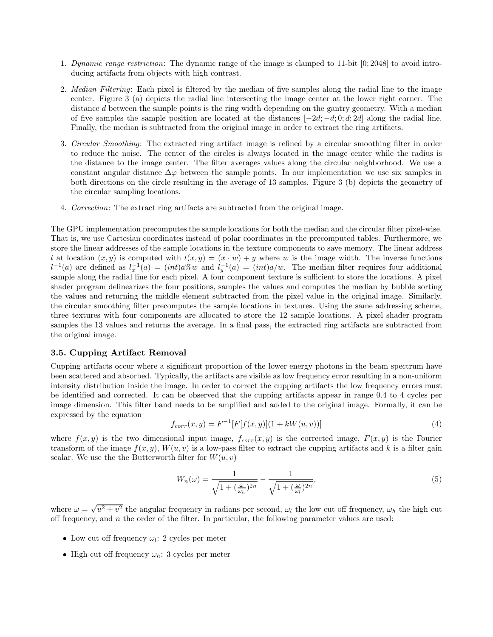- 1. *Dynamic range restriction*: The dynamic range of the image is clamped to 11-bit [0; 2048] to avoid introducing artifacts from objects with high contrast.
- 2. *Median Filtering*: Each pixel is filtered by the median of five samples along the radial line to the image center. Figure 3 (a) depicts the radial line intersecting the image center at the lower right corner. The distance d between the sample points is the ring width depending on the gantry geometry. With a median of five samples the sample position are located at the distances  $[-2d; -d; 0; d; 2d]$  along the radial line. Finally, the median is subtracted from the original image in order to extract the ring artifacts.
- 3. *Circular Smoothing*: The extracted ring artifact image is refined by a circular smoothing filter in order to reduce the noise. The center of the circles is always located in the image center while the radius is the distance to the image center. The filter averages values along the circular neighborhood. We use a constant angular distance  $\Delta\varphi$  between the sample points. In our implementation we use six samples in both directions on the circle resulting in the average of 13 samples. Figure 3 (b) depicts the geometry of the circular sampling locations.
- 4. *Correction*: The extract ring artifacts are subtracted from the original image.

The GPU implementation precomputes the sample locations for both the median and the circular filter pixel-wise. That is, we use Cartesian coordinates instead of polar coordinates in the precomputed tables. Furthermore, we store the linear addresses of the sample locations in the texture components to save memory. The linear address l at location  $(x, y)$  is computed with  $l(x, y)=(x \cdot w) + y$  where w is the image width. The inverse functions  $l^{-1}(a)$  are defined as  $l_x^{-1}(a) = (int)a\%w$  and  $l_y^{-1}(a) = (int)a/w$ . The median filter requires four additional sample along the radial line for each pixel. A four component texture is sufficient to store the locations. A pixel shader program delinearizes the four positions, samples the values and computes the median by bubble sorting the values and returning the middle element subtracted from the pixel value in the original image. Similarly, the circular smoothing filter precomputes the sample locations in textures. Using the same addressing scheme, three textures with four components are allocated to store the 12 sample locations. A pixel shader program samples the 13 values and returns the average. In a final pass, the extracted ring artifacts are subtracted from the original image.

# **3.5. Cupping Artifact Removal**

Cupping artifacts occur where a significant proportion of the lower energy photons in the beam spectrum have been scattered and absorbed. Typically, the artifacts are visible as low frequency error resulting in a non-uniform intensity distribution inside the image. In order to correct the cupping artifacts the low frequency errors must be identified and corrected. It can be observed that the cupping artifacts appear in range 0.4 to 4 cycles per image dimension. This filter band needs to be amplified and added to the original image. Formally, it can be expressed by the equation

$$
f_{corr}(x,y) = F^{-1}[F[f(x,y)](1 + kW(u,v))]
$$
\n(4)

where  $f(x, y)$  is the two dimensional input image,  $f_{corr}(x, y)$  is the corrected image,  $F(x, y)$  is the Fourier transform of the image  $f(x, y)$ ,  $W(u, v)$  is a low-pass filter to extract the cupping artifacts and k is a filter gain scalar. We use the the Butterworth filter for  $W(u, v)$ 

$$
W_n(\omega) = \frac{1}{\sqrt{1 + \left(\frac{\omega}{\omega_h}\right)^{2n}}} - \frac{1}{\sqrt{1 + \left(\frac{\omega}{\omega_l}\right)^{2n}}},\tag{5}
$$

where  $\omega = \sqrt{u^2 + v^2}$  the angular frequency in radians per second,  $\omega_l$  the low cut off frequency,  $\omega_h$  the high cut off frequency, and  $n$  the order of the filter. In particular, the following parameter values are used:

- Low cut off frequency  $\omega_l$ : 2 cycles per meter
- High cut off frequency  $\omega_h$ : 3 cycles per meter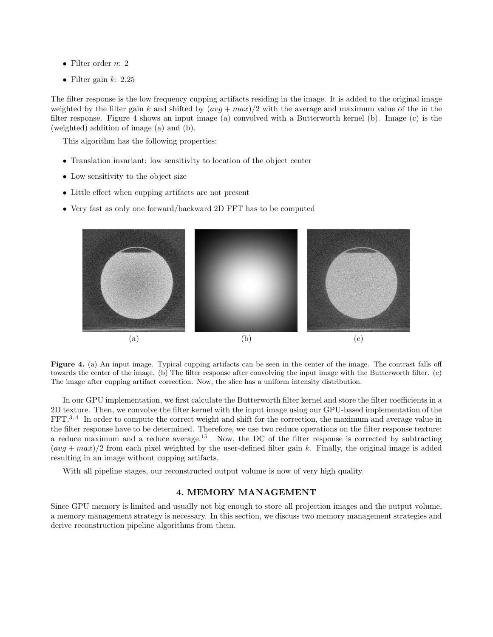- Filter order  $n: 2$
- Filter gain  $k: 2.25$

The filter response is the low frequency cupping artifacts residing in the image. It is added to the original image weighted by the filter gain k and shifted by  $(avg + max)/2$  with the average and maximum value of the in the filter response. Figure 4 shows an input image (a) convolved with a Butterworth kernel (b). Image (c) is the (weighted) addition of image (a) and (b).

This algorithm has the following properties:

- Translation invariant: low sensitivity to location of the object center
- Low sensitivity to the object size
- Little effect when cupping artifacts are not present
- Very fast as only one forward/backward 2D FFT has to be computed



**Figure 4.** (a) An input image. Typical cupping artifacts can be seen in the center of the image. The contrast falls off towards the center of the image. (b) The filter response after convolving the input image with the Butterworth filter. (c) The image after cupping artifact correction. Now, the slice has a uniform intensity distribution.

In our GPU implementation, we first calculate the Butterworth filter kernel and store the filter coefficients in a 2D texture. Then, we convolve the filter kernel with the input image using our GPU-based implementation of the FFT.3, 4 In order to compute the correct weight and shift for the correction, the maximum and average value in the filter response have to be determined. Therefore, we use two reduce operations on the filter response texture: a reduce maximum and a reduce average.<sup>15</sup> Now, the DC of the filter response is corrected by subtracting  $(\alpha vq + \alpha x)/2$  from each pixel weighted by the user-defined filter gain k. Finally, the original image is added resulting in an image without cupping artifacts.

With all pipeline stages, our reconstructed output volume is now of very high quality.

### **4. MEMORY MANAGEMENT**

Since GPU memory is limited and usually not big enough to store all projection images and the output volume, a memory management strategy is necessary. In this section, we discuss two memory management strategies and derive reconstruction pipeline algorithms from them.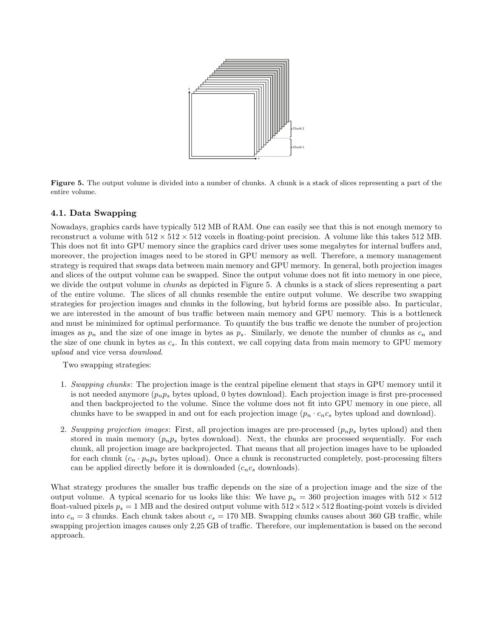

**Figure 5.** The output volume is divided into a number of chunks. A chunk is a stack of slices representing a part of the entire volume.

# **4.1. Data Swapping**

Nowadays, graphics cards have typically 512 MB of RAM. One can easily see that this is not enough memory to reconstruct a volume with  $512 \times 512 \times 512$  voxels in floating-point precision. A volume like this takes 512 MB. This does not fit into GPU memory since the graphics card driver uses some megabytes for internal buffers and, moreover, the projection images need to be stored in GPU memory as well. Therefore, a memory management strategy is required that swaps data between main memory and GPU memory. In general, both projection images and slices of the output volume can be swapped. Since the output volume does not fit into memory in one piece, we divide the output volume in *chunks* as depicted in Figure 5. A chunks is a stack of slices representing a part of the entire volume. The slices of all chunks resemble the entire output volume. We describe two swapping strategies for projection images and chunks in the following, but hybrid forms are possible also. In particular, we are interested in the amount of bus traffic between main memory and GPU memory. This is a bottleneck and must be minimized for optimal performance. To quantify the bus traffic we denote the number of projection images as  $p_n$  and the size of one image in bytes as  $p_s$ . Similarly, we denote the number of chunks as  $c_n$  and the size of one chunk in bytes as  $c_s$ . In this context, we call copying data from main memory to GPU memory *upload* and vice versa *download*.

Two swapping strategies:

- 1. *Swapping chunks*: The projection image is the central pipeline element that stays in GPU memory until it is not needed anymore  $(p_n p_s)$  bytes upload, 0 bytes download). Each projection image is first pre-processed and then backprojected to the volume. Since the volume does not fit into GPU memory in one piece, all chunks have to be swapped in and out for each projection image  $(p_n \cdot c_n c_s)$  bytes upload and download).
- 2. *Swapping projection images*: First, all projection images are pre-processed  $(p_n p_s)$  bytes upload) and then stored in main memory  $(p_n p_s)$  bytes download). Next, the chunks are processed sequentially. For each chunk, all projection image are backprojected. That means that all projection images have to be uploaded for each chunk  $(c_n \cdot p_n p_s)$  bytes upload). Once a chunk is reconstructed completely, post-processing filters can be applied directly before it is downloaded  $(c_n c_s \text{ downloads}).$

What strategy produces the smaller bus traffic depends on the size of a projection image and the size of the output volume. A typical scenario for us looks like this: We have  $p_n = 360$  projection images with  $512 \times 512$ float-valued pixels  $p_s = 1$  MB and the desired output volume with  $512 \times 512 \times 512$  floating-point voxels is divided into  $c_n = 3$  chunks. Each chunk takes about  $c_s = 170$  MB. Swapping chunks causes about 360 GB traffic, while swapping projection images causes only 2,25 GB of traffic. Therefore, our implementation is based on the second approach.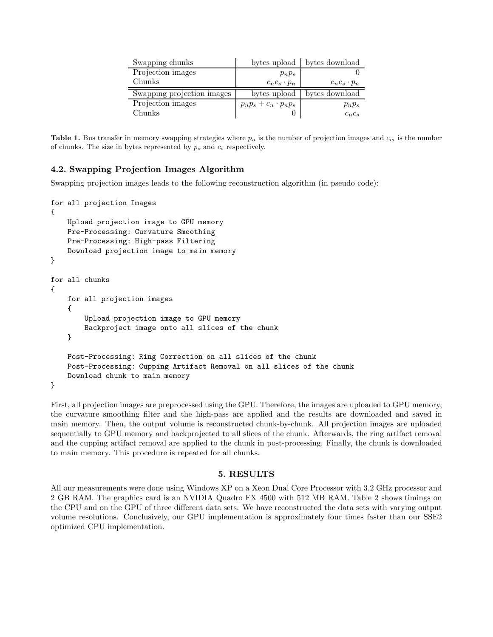| Swapping chunks            |                               | bytes upload   bytes download |
|----------------------------|-------------------------------|-------------------------------|
| Projection images          | $p_np_s$                      |                               |
| Chunks                     | $c_n c_s \cdot p_n$           | $c_n c_s \cdot p_n$           |
|                            |                               |                               |
| Swapping projection images | bytes upload                  | bytes download                |
| Projection images          | $p_n p_s + c_n \cdot p_n p_s$ | $p_np_s$                      |

**Table 1.** Bus transfer in memory swapping strategies where  $p_n$  is the number of projection images and  $c_m$  is the number of chunks. The size in bytes represented by  $p_s$  and  $c_s$  respectively.

# **4.2. Swapping Projection Images Algorithm**

Swapping projection images leads to the following reconstruction algorithm (in pseudo code):

```
for all projection Images
{
    Upload projection image to GPU memory
    Pre-Processing: Curvature Smoothing
   Pre-Processing: High-pass Filtering
    Download projection image to main memory
}
for all chunks
{
   for all projection images
    {
        Upload projection image to GPU memory
        Backproject image onto all slices of the chunk
    }
   Post-Processing: Ring Correction on all slices of the chunk
    Post-Processing: Cupping Artifact Removal on all slices of the chunk
    Download chunk to main memory
}
```
First, all projection images are preprocessed using the GPU. Therefore, the images are uploaded to GPU memory, the curvature smoothing filter and the high-pass are applied and the results are downloaded and saved in main memory. Then, the output volume is reconstructed chunk-by-chunk. All projection images are uploaded sequentially to GPU memory and backprojected to all slices of the chunk. Afterwards, the ring artifact removal and the cupping artifact removal are applied to the chunk in post-processing. Finally, the chunk is downloaded to main memory. This procedure is repeated for all chunks.

### **5. RESULTS**

All our measurements were done using Windows XP on a Xeon Dual Core Processor with 3.2 GHz processor and 2 GB RAM. The graphics card is an NVIDIA Quadro FX 4500 with 512 MB RAM. Table 2 shows timings on the CPU and on the GPU of three different data sets. We have reconstructed the data sets with varying output volume resolutions. Conclusively, our GPU implementation is approximately four times faster than our SSE2 optimized CPU implementation.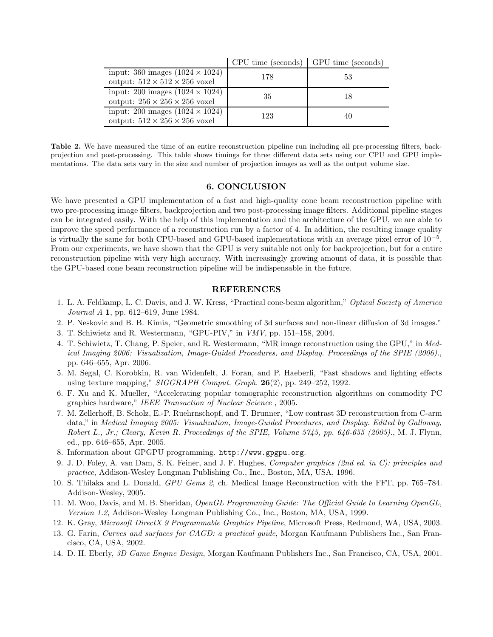|                                                                                     | UP UT UTHE (SECONDS) | GL O Time (seconds) |
|-------------------------------------------------------------------------------------|----------------------|---------------------|
| input: 360 images $(1024 \times 1024)$<br>output: $512 \times 512 \times 256$ voxel | 178                  | 53                  |
| input: 200 images $(1024 \times 1024)$<br>output: $256 \times 256 \times 256$ voxel | 35                   | 18                  |
| input: 200 images $(1024 \times 1024)$<br>output: $512 \times 256 \times 256$ voxel | 123                  | 40                  |

 $C$ PU time (seconds)  $C$ PU time

**Table 2.** We have measured the time of an entire reconstruction pipeline run including all pre-processing filters, backprojection and post-processing. This table shows timings for three different data sets using our CPU and GPU implementations. The data sets vary in the size and number of projection images as well as the output volume size.

## **6. CONCLUSION**

We have presented a GPU implementation of a fast and high-quality cone beam reconstruction pipeline with two pre-processing image filters, backprojection and two post-processing image filters. Additional pipeline stages can be integrated easily. With the help of this implementation and the architecture of the GPU, we are able to improve the speed performance of a reconstruction run by a factor of 4. In addition, the resulting image quality is virtually the same for both CPU-based and GPU-based implementations with an average pixel error of 10*−*<sup>5</sup>. From our experiments, we have shown that the GPU is very suitable not only for backprojection, but for a entire reconstruction pipeline with very high accuracy. With increasingly growing amount of data, it is possible that the GPU-based cone beam reconstruction pipeline will be indispensable in the future.

# **REFERENCES**

- 1. L. A. Feldkamp, L. C. Davis, and J. W. Kress, "Practical cone-beam algorithm," *Optical Society of America Journal A* **1**, pp. 612–619, June 1984.
- 2. P. Neskovic and B. B. Kimia, "Geometric smoothing of 3d surfaces and non-linear diffusion of 3d images."
- 3. T. Schiwietz and R. Westermann, "GPU-PIV," in *VMV*, pp. 151–158, 2004.
- 4. T. Schiwietz, T. Chang, P. Speier, and R. Westermann, "MR image reconstruction using the GPU," in *Medical Imaging 2006: Visualization, Image-Guided Procedures, and Display. Proceedings of the SPIE (2006).*, pp. 646–655, Apr. 2006.
- 5. M. Segal, C. Korobkin, R. van Widenfelt, J. Foran, and P. Haeberli, "Fast shadows and lighting effects using texture mapping," *SIGGRAPH Comput. Graph.* **26**(2), pp. 249–252, 1992.
- 6. F. Xu and K. Mueller, "Accelerating popular tomographic reconstruction algorithms on commodity PC graphics hardware," *IEEE Transaction of Nuclear Science* , 2005.
- 7. M. Zellerhoff, B. Scholz, E.-P. Ruehrnschopf, and T. Brunner, "Low contrast 3D reconstruction from C-arm data," in *Medical Imaging 2005: Visualization, Image-Guided Procedures, and Display. Edited by Galloway, Robert L., Jr.; Cleary, Kevin R. Proceedings of the SPIE, Volume 5745, pp. 646-655 (2005).*, M. J. Flynn, ed., pp. 646–655, Apr. 2005.
- 8. Information about GPGPU programming. http://www.gpgpu.org.
- 9. J. D. Foley, A. van Dam, S. K. Feiner, and J. F. Hughes, *Computer graphics (2nd ed. in C): principles and practice*, Addison-Wesley Longman Publishing Co., Inc., Boston, MA, USA, 1996.
- 10. S. Thilaka and L. Donald, *GPU Gems 2*, ch. Medical Image Reconstruction with the FFT, pp. 765–784. Addison-Wesley, 2005.
- 11. M. Woo, Davis, and M. B. Sheridan, *OpenGL Programming Guide: The Official Guide to Learning OpenGL, Version 1.2*, Addison-Wesley Longman Publishing Co., Inc., Boston, MA, USA, 1999.
- 12. K. Gray, *Microsoft DirectX 9 Programmable Graphics Pipeline*, Microsoft Press, Redmond, WA, USA, 2003.
- 13. G. Farin, *Curves and surfaces for CAGD: a practical guide*, Morgan Kaufmann Publishers Inc., San Francisco, CA, USA, 2002.
- 14. D. H. Eberly, *3D Game Engine Design*, Morgan Kaufmann Publishers Inc., San Francisco, CA, USA, 2001.